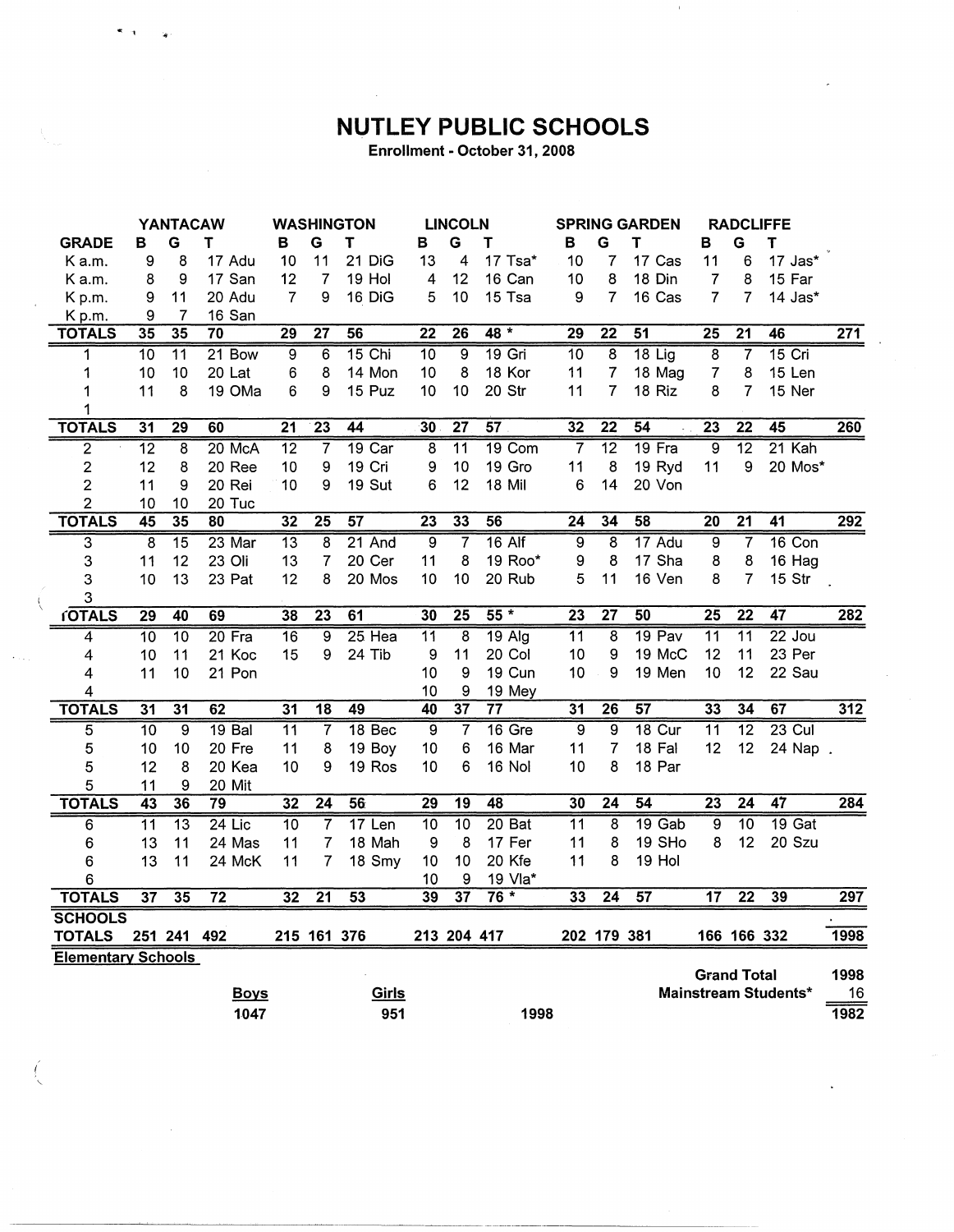## NUTLEY PUBLIC SCHOOLS

Enrollment - October 31, 2008

|                           | YANTACAW        |                 | <b>WASHINGTON</b> |                 | <b>LINCOLN</b>          |                 | <b>SPRING GARDEN</b> |                 | <b>RADCLIFFE</b> |                 |                 |                 |                 |                           |                             |                  |
|---------------------------|-----------------|-----------------|-------------------|-----------------|-------------------------|-----------------|----------------------|-----------------|------------------|-----------------|-----------------|-----------------|-----------------|---------------------------|-----------------------------|------------------|
| <b>GRADE</b>              | в               | G               | т                 | в               | G                       | T               | в                    | G               | т                | В               | G               | Τ               | B               | G                         | т                           |                  |
| K a.m.                    | 9               | 8               | 17 Adu            | 10              | 11                      | 21 DiG          | 13                   | 4               | 17 Tsa*          | 10              | 7               | 17 Cas          | 11              | 6                         | 17 Jas*                     |                  |
| K a.m.                    | 8               | 9               | 17 San            | 12              | 7                       | 19 Hol          | 4                    | 12              | 16 Can           | 10              | 8               | 18 Din          | 7               | 8                         | 15 Far                      |                  |
| Kp.m.                     | 9               | 11              | 20 Adu            | $\overline{7}$  | 9                       | 16 DiG          | 5                    | 10              | 15 Tsa           | 9               | $\overline{7}$  | 16 Cas          | 7               | 7                         | 14 Jas*                     |                  |
| Kp.m.                     | 9               | 7               | 16 San            |                 |                         |                 |                      |                 |                  |                 |                 |                 |                 |                           |                             |                  |
| <b>TOTALS</b>             | 35              | 35              | 70                | $\overline{29}$ | $\overline{27}$         | 56              | $\overline{22}$      | $\overline{26}$ | $48 *$           | $\overline{29}$ | $\overline{22}$ | 51              | $\overline{25}$ | $\overline{21}$           | 46                          | $\overline{271}$ |
| 1                         | $\overline{10}$ | $\overline{11}$ | 21 Bow            | $\overline{9}$  | 6                       | $15$ Chi        | $\overline{10}$      | $\overline{9}$  | $19$ Gri         | $\overline{10}$ | $\overline{8}$  | $18$ Lig        | $\overline{8}$  | $\overline{\overline{7}}$ | $15$ Cri                    |                  |
| 1                         | 10              | 10              | 20 Lat            | 6               | 8                       | 14 Mon          | 10                   | 8               | 18 Kor           | 11              | $\overline{7}$  | 18 Mag          | 7               | 8                         | 15 Len                      |                  |
| 1                         | 11              | 8               | 19 OMa            | 6               | 9                       | 15 Puz          | 10                   | 10              | 20 Str           | 11              | 7               | 18 Riz          | 8               | 7                         | 15 Ner                      |                  |
| 1                         |                 |                 |                   |                 |                         |                 |                      |                 |                  |                 |                 |                 |                 |                           |                             |                  |
| <b>TOTALS</b>             | $\overline{31}$ | $\overline{29}$ | 60                | $\overline{21}$ | $\overline{23}$         | 44              | $\overline{30}$      | $\overline{27}$ | $\overline{57}$  | 32              | $\overline{22}$ | 54              | $\overline{23}$ | $\overline{22}$           | 45                          | 260              |
| $\overline{2}$            | $\overline{12}$ | $\overline{8}$  | 20 McA            | $\overline{12}$ | $\overline{\mathbf{7}}$ | $19$ Car        | $\overline{8}$       | $\overline{11}$ | 19 Com           | $\overline{7}$  | $\overline{12}$ | 19 Fra          | ब्र             | $\overline{12}$           | $21$ Kah                    |                  |
| 2                         | 12              | 8               | 20 Ree            | 10              | 9                       | 19 Cri          | 9                    | 10              | 19 Gro           | 11              | 8               | 19 Ryd          | 11              | 9                         | 20 Mos*                     |                  |
| $\overline{2}$            | 11              | 9               | 20 Rei            | 10              | 9                       | 19 Sut          | 6                    | 12              | 18 Mil           | 6               | 14              | 20 Von          |                 |                           |                             |                  |
| 2                         | 10              | 10              | 20 Tuc            |                 |                         |                 |                      |                 |                  |                 |                 |                 |                 |                           |                             |                  |
| <b>TOTALS</b>             | 45              | 35              | 80                | $\overline{32}$ | $\overline{25}$         | $\overline{57}$ | $\overline{23}$      | 33              | 56               | 24              | 34              | 58              | $\overline{20}$ | $\overline{21}$           | $\overline{41}$             | 292              |
| $\overline{\mathbf{3}}$   | $\overline{8}$  | $\overline{15}$ | 23 Mar            | $\overline{13}$ | 8                       | $21$ And        | $\overline{9}$       | 7               | $16$ Alf         | 9               | 8               | 17 Adu          | $\overline{9}$  | 7                         | $16$ Con                    |                  |
| 3                         | 11              | 12              | 23 Oli            | 13              | 7                       | 20 Cer          | 11                   | 8               | 19 Roo*          | 9               | 8               | 17 Sha          | 8               | 8                         | 16 Hag                      |                  |
| 3                         | 10              | 13              | 23 Pat            | 12              | 8                       | 20 Mos          | 10                   | 10              | 20 Rub           | 5               | 11              | 16 Ven          | 8               | 7                         | 15 Str                      |                  |
| 3                         |                 |                 |                   |                 |                         |                 |                      |                 |                  |                 |                 |                 |                 |                           |                             |                  |
| <b>fOTALS</b>             | 29              | 40              | 69                | 38              | 23                      | 61              | 30                   | $\overline{25}$ | $55*$            | $\overline{23}$ | $\overline{27}$ | $\overline{50}$ | $\overline{25}$ | $\overline{22}$           | 47                          | 282              |
| 4                         | 10              | $\overline{10}$ | $20$ Fra          | $\overline{16}$ | 9                       | $25$ Hea        | $\overline{11}$      | $\overline{8}$  | $19$ Alg         | 11              | 8               | 19 Pav          | $\overline{11}$ | $\overline{11}$           | $22$ Jou                    |                  |
| 4                         | 10              | 11              | 21 Koc            | 15              | 9                       | 24 Tib          | 9                    | 11              | 20 Col           | 10              | 9               | 19 McC          | 12              | 11                        | 23 Per                      |                  |
| 4                         | 11              | 10              | 21 Pon            |                 |                         |                 | 10                   | 9               | 19 Cun           | 10              | 9               | 19 Men          | 10              | 12                        | 22 Sau                      |                  |
| 4                         |                 |                 |                   |                 |                         |                 | 10                   | 9               | 19 Mey           |                 |                 |                 |                 |                           |                             |                  |
| <b>TOTALS</b>             | $\overline{31}$ | $\overline{31}$ | 62                | $\overline{31}$ | $\overline{18}$         | 49              | 40                   | $\overline{37}$ | $\overline{77}$  | 31              | $\overline{26}$ | 57              | 33              | 34                        | 67                          | 312              |
| 5                         | $\overline{10}$ | $\overline{9}$  | 19 <sub>Bal</sub> | $\overline{11}$ | 7                       | 18 Bec          | 9                    | 7               | 16 Gre           | $\overline{9}$  | 9               | 18 Cur          | $\overline{11}$ | $\overline{12}$           | $23$ Cul                    |                  |
| 5                         | 10              | 10              | 20 Fre            | 11              | 8                       | 19 Boy          | 10                   | 6               | 16 Mar           | 11              | 7               | 18 Fal          | 12              | 12                        | 24 Nap .                    |                  |
| 5                         | 12              | 8               | 20 Kea            | 10              | 9                       | 19 Ros          | 10                   | 6               | 16 Nol           | 10              | 8               | 18 Par          |                 |                           |                             |                  |
| 5                         | 11              | 9               | 20 Mit            |                 |                         |                 |                      |                 |                  |                 |                 |                 |                 |                           |                             |                  |
| <b>TOTALS</b>             | 43              | 36              | $\overline{79}$   | $\overline{32}$ | $\overline{24}$         | 56              | $\overline{29}$      | $\overline{19}$ | 48               | 30              | $\overline{24}$ | 54              | $\overline{23}$ | $\overline{24}$           | 47                          | 284              |
| $\overline{6}$            | $\overline{11}$ | $\overline{13}$ | $24$ Lic          | $\overline{10}$ | 7                       | 17 Len          | $\overline{10}$      | $\overline{10}$ | 20 Bat           | $\overline{11}$ | $\overline{8}$  | $19$ Gab        | $\overline{9}$  | $\overline{10}$           | $19$ Gat                    |                  |
| 6                         | 13              | 11              | 24 Mas            | 11              | 7                       | 18 Mah          | 9                    | 8               | 17 Fer           | 11              | 8               | 19 SHo          | 8               | 12                        | 20 Szu                      |                  |
| 6                         | 13              | 11              | 24 McK            | 11              | 7                       | 18 Smy          | 10                   | 10              | 20 Kfe           | 11              | 8               | 19 Hol          |                 |                           |                             |                  |
| 6                         |                 |                 |                   |                 |                         |                 | 10                   | 9               | 19 Vla*          |                 |                 |                 |                 |                           |                             |                  |
| <b>TOTALS</b>             | $\overline{37}$ | 35              | $\overline{72}$   | 32              | $\overline{21}$         | 53              | 39                   | $\overline{37}$ | $76*$            | 33              | 24              | 57              | $\overline{17}$ | $\overline{22}$           | 39                          | 297              |
| <b>SCHOOLS</b>            |                 |                 |                   |                 |                         |                 |                      |                 |                  |                 |                 |                 |                 |                           |                             |                  |
| <b>TOTALS</b>             |                 | 251 241         | 492               |                 | 215 161 376             |                 |                      | 213 204 417     |                  |                 | 202 179 381     |                 |                 | 166 166 332               |                             | 1998             |
| <b>Elementary Schools</b> |                 |                 |                   |                 |                         |                 |                      |                 |                  |                 |                 |                 |                 |                           |                             |                  |
|                           |                 |                 |                   |                 |                         |                 |                      |                 |                  |                 |                 |                 |                 | <b>Grand Total</b>        |                             | 1998             |
|                           |                 |                 | <b>Boys</b>       |                 |                         | <u>Girls</u>    |                      |                 |                  |                 |                 |                 |                 |                           | <b>Mainstream Students*</b> | 16               |
|                           |                 |                 | 1047              |                 |                         | 951             |                      |                 | 1998             |                 |                 |                 |                 |                           |                             | 1982             |